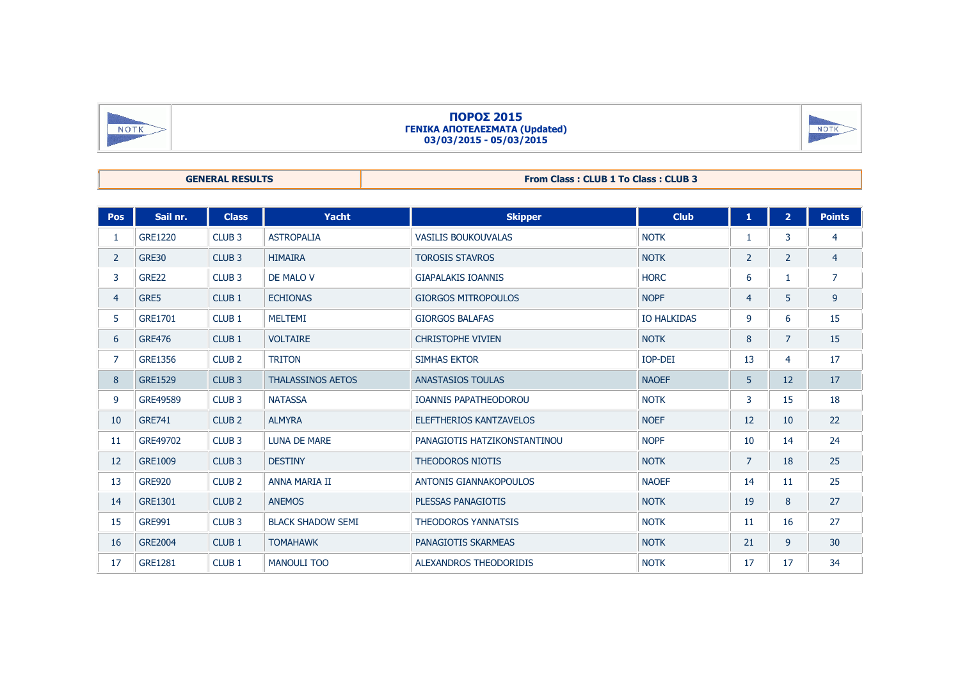| NOTK |
|------|
|      |

## **ΠΟΡΟΣ 2015 ΓΕΝΙΚΑ ΑΠΟΤΕΛΕΣΜΑΤΑ (Updated) 03/03/2015 - 05/03/2015**



| <b>From Class: CLUB 1 To Class: CLUB 3</b><br><b>GENERAL RESULTS</b> |  |  |
|----------------------------------------------------------------------|--|--|
|----------------------------------------------------------------------|--|--|

| Pos            | Sail nr.       | <b>Class</b>      | Yacht                    | <b>Skipper</b>                | <b>Club</b>        | 1              | 2 <sup>1</sup> | <b>Points</b>  |
|----------------|----------------|-------------------|--------------------------|-------------------------------|--------------------|----------------|----------------|----------------|
| 1              | <b>GRE1220</b> | CLUB <sub>3</sub> | <b>ASTROPALIA</b>        | <b>VASILIS BOUKOUVALAS</b>    | <b>NOTK</b>        | 1              | 3              | 4              |
| $\overline{2}$ | <b>GRE30</b>   | CLUB <sub>3</sub> | <b>HIMAIRA</b>           | <b>TOROSIS STAVROS</b>        | <b>NOTK</b>        | 2              | $\overline{2}$ | $\overline{4}$ |
| 3              | <b>GRE22</b>   | CLUB <sub>3</sub> | DE MALO V                | <b>GIAPALAKIS IOANNIS</b>     | <b>HORC</b>        | 6              | 1              | $\overline{7}$ |
| 4              | GRE5           | CLUB <sub>1</sub> | <b>ECHIONAS</b>          | <b>GIORGOS MITROPOULOS</b>    | <b>NOPF</b>        | $\overline{4}$ | 5              | 9              |
| 5              | <b>GRE1701</b> | CLUB <sub>1</sub> | <b>MELTEMI</b>           | <b>GIORGOS BALAFAS</b>        | <b>IO HALKIDAS</b> | 9              | 6              | 15             |
| 6              | <b>GRE476</b>  | CLUB <sub>1</sub> | <b>VOLTAIRE</b>          | <b>CHRISTOPHE VIVIEN</b>      | <b>NOTK</b>        | 8              | $\overline{7}$ | 15             |
| 7              | <b>GRE1356</b> | CLUB <sub>2</sub> | <b>TRITON</b>            | <b>SIMHAS EKTOR</b>           | <b>IOP-DEI</b>     | 13             | 4              | 17             |
| 8              | <b>GRE1529</b> | CLUB <sub>3</sub> | <b>THALASSINOS AETOS</b> | <b>ANASTASIOS TOULAS</b>      | <b>NAOEF</b>       | 5              | 12             | 17             |
| 9              | GRE49589       | CLUB <sub>3</sub> | <b>NATASSA</b>           | <b>IOANNIS PAPATHEODOROU</b>  | <b>NOTK</b>        | 3              | 15             | 18             |
| 10             | <b>GRE741</b>  | CLUB <sub>2</sub> | <b>ALMYRA</b>            | ELEFTHERIOS KANTZAVELOS       | <b>NOEF</b>        | 12             | 10             | 22             |
| 11             | GRE49702       | CLUB <sub>3</sub> | <b>LUNA DE MARE</b>      | PANAGIOTIS HATZIKONSTANTINOU  | <b>NOPF</b>        | 10             | 14             | 24             |
| 12             | <b>GRE1009</b> | CLUB <sub>3</sub> | <b>DESTINY</b>           | <b>THEODOROS NIOTIS</b>       | <b>NOTK</b>        | $\overline{7}$ | 18             | 25             |
| 13             | <b>GRE920</b>  | CLUB <sub>2</sub> | <b>ANNA MARIA II</b>     | <b>ANTONIS GIANNAKOPOULOS</b> | <b>NAOEF</b>       | 14             | 11             | 25             |
| 14             | <b>GRE1301</b> | CLUB <sub>2</sub> | <b>ANEMOS</b>            | PLESSAS PANAGIOTIS            | <b>NOTK</b>        | 19             | 8              | 27             |
| 15             | <b>GRE991</b>  | CLUB <sub>3</sub> | <b>BLACK SHADOW SEMI</b> | <b>THEODOROS YANNATSIS</b>    | <b>NOTK</b>        | 11             | 16             | 27             |
| 16             | <b>GRE2004</b> | CLUB <sub>1</sub> | <b>TOMAHAWK</b>          | PANAGIOTIS SKARMEAS           | <b>NOTK</b>        | 21             | 9              | 30             |
| 17             | <b>GRE1281</b> | CLUB <sub>1</sub> | <b>MANOULI TOO</b>       | <b>ALEXANDROS THEODORIDIS</b> | <b>NOTK</b>        | 17             | 17             | 34             |